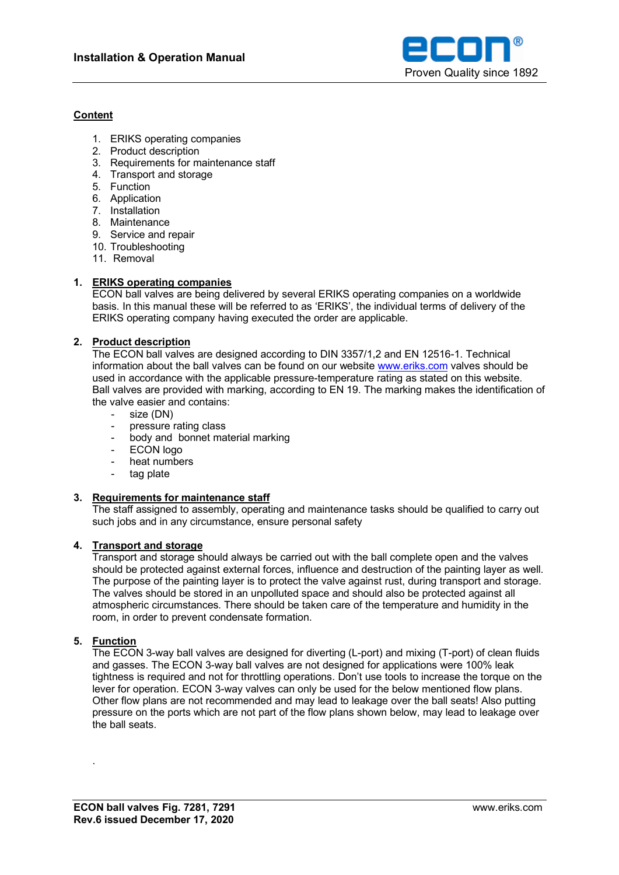

### **Content**

- 1. ERIKS operating companies
- 2. Product description
- 3. Requirements for maintenance staff
- 4. Transport and storage
- 5. Function
- 6. Application
- 7. Installation
- 8. Maintenance
- 9. Service and repair
- 10. Troubleshooting
- 11. Removal

## **1. ERIKS operating companies**

ECON ball valves are being delivered by several ERIKS operating companies on a worldwide basis. In this manual these will be referred to as 'ERIKS', the individual terms of delivery of the ERIKS operating company having executed the order are applicable.

## **2. Product description**

The ECON ball valves are designed according to DIN 3357/1,2 and EN 12516-1. Technical information about the ball valves can be found on our website [www.eriks.com](http://www.eriks.com/) valves should be used in accordance with the applicable pressure-temperature rating as stated on this website. Ball valves are provided with marking, according to EN 19. The marking makes the identification of the valve easier and contains:

- size (DN)
- 
- pressure rating class<br>- body and bonnet may - body and bonnet material marking
- ECON logo
- heat numbers
- tag plate

# **3. Requirements for maintenance staff**

The staff assigned to assembly, operating and maintenance tasks should be qualified to carry out such jobs and in any circumstance, ensure personal safety

### **4. Transport and storage**

Transport and storage should always be carried out with the ball complete open and the valves should be protected against external forces, influence and destruction of the painting layer as well. The purpose of the painting layer is to protect the valve against rust, during transport and storage. The valves should be stored in an unpolluted space and should also be protected against all atmospheric circumstances. There should be taken care of the temperature and humidity in the room, in order to prevent condensate formation.

# **5. Function**

.

The ECON 3-way ball valves are designed for diverting (L-port) and mixing (T-port) of clean fluids and gasses. The ECON 3-way ball valves are not designed for applications were 100% leak tightness is required and not for throttling operations. Don't use tools to increase the torque on the lever for operation. ECON 3-way valves can only be used for the below mentioned flow plans. Other flow plans are not recommended and may lead to leakage over the ball seats! Also putting pressure on the ports which are not part of the flow plans shown below, may lead to leakage over the ball seats.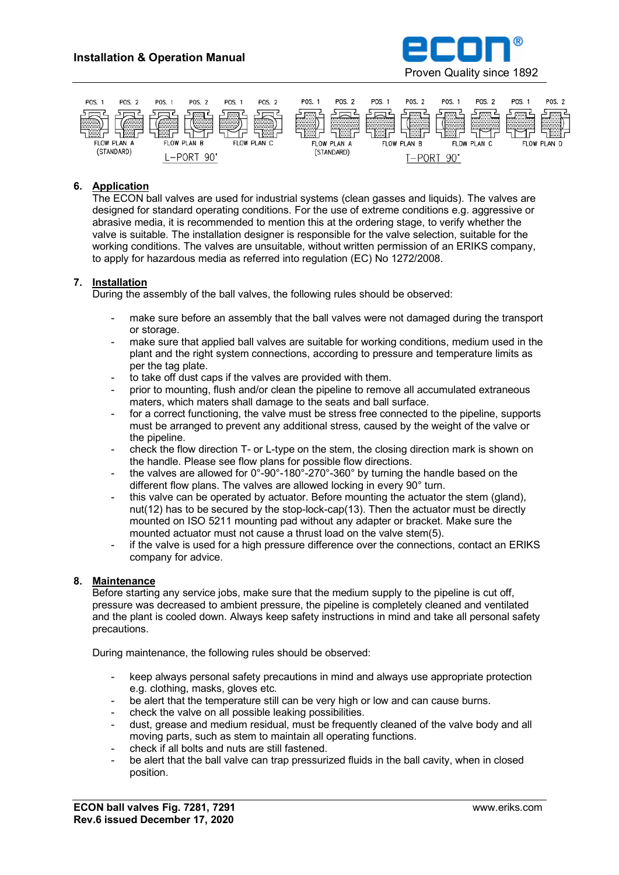



### **6. Application**

The ECON ball valves are used for industrial systems (clean gasses and liquids). The valves are designed for standard operating conditions. For the use of extreme conditions e.g. aggressive or abrasive media, it is recommended to mention this at the ordering stage, to verify whether the valve is suitable. The installation designer is responsible for the valve selection, suitable for the working conditions. The valves are unsuitable, without written permission of an ERIKS company, to apply for hazardous media as referred into regulation (EC) No 1272/2008.

### **7. Installation**

During the assembly of the ball valves, the following rules should be observed:

- make sure before an assembly that the ball valves were not damaged during the transport or storage.
- make sure that applied ball valves are suitable for working conditions, medium used in the plant and the right system connections, according to pressure and temperature limits as per the tag plate.
- to take off dust caps if the valves are provided with them.
- prior to mounting, flush and/or clean the pipeline to remove all accumulated extraneous maters, which maters shall damage to the seats and ball surface.
- for a correct functioning, the valve must be stress free connected to the pipeline, supports must be arranged to prevent any additional stress, caused by the weight of the valve or the pipeline.
- check the flow direction T- or L-type on the stem, the closing direction mark is shown on the handle. Please see flow plans for possible flow directions.
- the valves are allowed for  $0^{\circ}$ -90°-180°-270°-360° by turning the handle based on the different flow plans. The valves are allowed locking in every 90° turn.
- this valve can be operated by actuator. Before mounting the actuator the stem (gland), nut(12) has to be secured by the stop-lock-cap(13). Then the actuator must be directly mounted on ISO 5211 mounting pad without any adapter or bracket. Make sure the mounted actuator must not cause a thrust load on the valve stem(5).
- if the valve is used for a high pressure difference over the connections, contact an ERIKS company for advice.

### **8. Maintenance**

Before starting any service jobs, make sure that the medium supply to the pipeline is cut off, pressure was decreased to ambient pressure, the pipeline is completely cleaned and ventilated and the plant is cooled down. Always keep safety instructions in mind and take all personal safety precautions.

During maintenance, the following rules should be observed:

- keep always personal safety precautions in mind and always use appropriate protection e.g. clothing, masks, gloves etc.
- be alert that the temperature still can be very high or low and can cause burns.
- check the valve on all possible leaking possibilities.
- dust, grease and medium residual, must be frequently cleaned of the valve body and all moving parts, such as stem to maintain all operating functions.
- check if all bolts and nuts are still fastened.
- be alert that the ball valve can trap pressurized fluids in the ball cavity, when in closed position.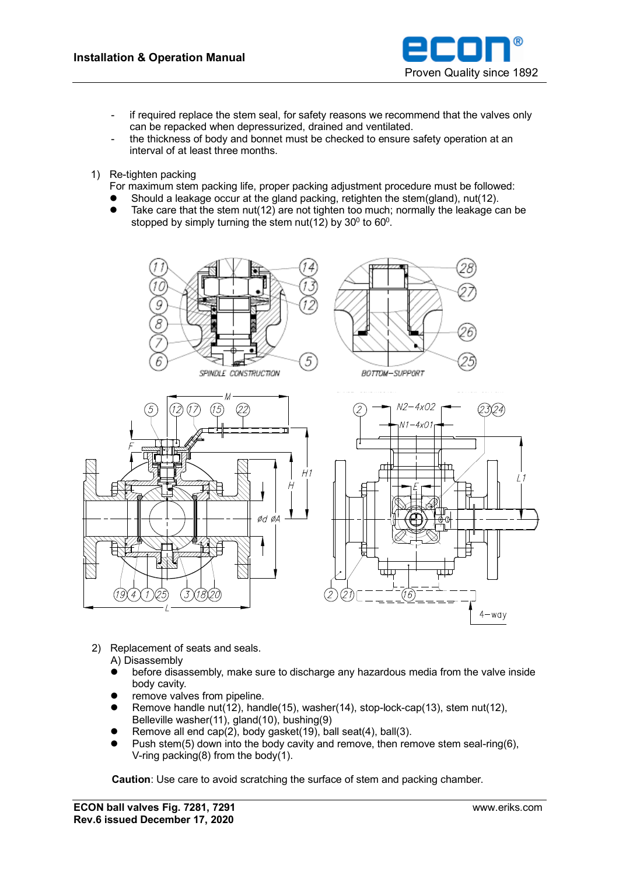

- if required replace the stem seal, for safety reasons we recommend that the valves only can be repacked when depressurized, drained and ventilated.
- the thickness of body and bonnet must be checked to ensure safety operation at an interval of at least three months.
- 1) Re-tighten packing
	- For maximum stem packing life, proper packing adjustment procedure must be followed:
	- Should a leakage occur at the gland packing, retighten the stem(gland), nut(12).
	- $\bullet$  Take care that the stem nut(12) are not tighten too much; normally the leakage can be stopped by simply turning the stem nut(12) by  $30^0$  to  $60^0$ .



- 2) Replacement of seats and seals.
	- A) Disassembly
	- ⚫ before disassembly, make sure to discharge any hazardous media from the valve inside body cavity.
	- ⚫ remove valves from pipeline.
	- Remove handle nut(12), handle(15), washer(14), stop-lock-cap(13), stem nut(12), Belleville washer(11), gland(10), bushing(9)
	- Remove all end cap(2), body gasket(19), ball seat(4), ball(3).
	- Push stem(5) down into the body cavity and remove, then remove stem seal-ring(6), V-ring packing(8) from the body(1).

**Caution**: Use care to avoid scratching the surface of stem and packing chamber.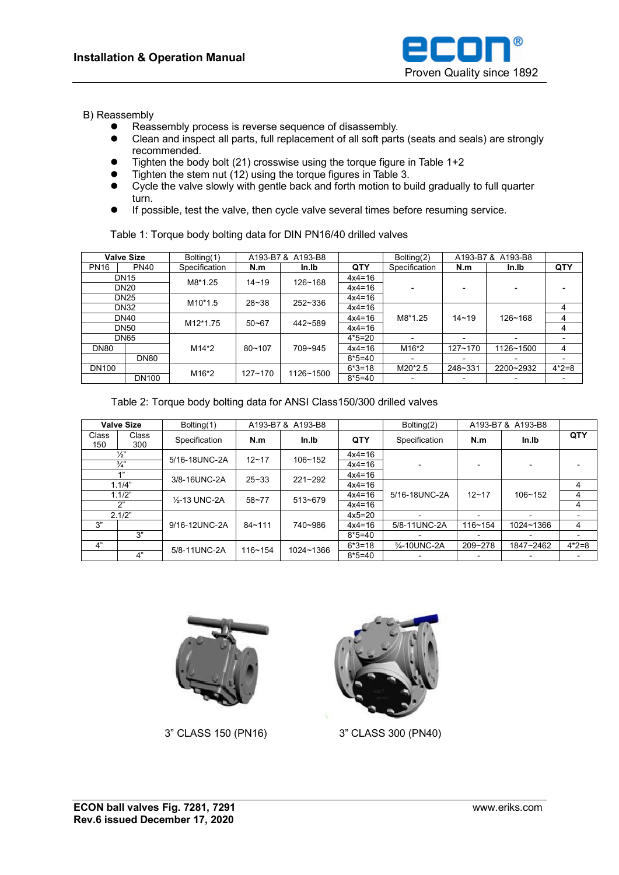

### B) Reassembly

- ⚫ Reassembly process is reverse sequence of disassembly.
- ⚫ Clean and inspect all parts, full replacement of all soft parts (seats and seals) are strongly recommended.
- ⚫ Tighten the body bolt (21) crosswise using the torque figure in Table 1+2
- Tighten the stem nut (12) using the torque figures in Table 3.
- Cycle the valve slowly with gentle back and forth motion to build gradually to full quarter turn.
- ⚫ If possible, test the valve, then cycle valve several times before resuming service.

Table 1: Torque body bolting data for DIN PN16/40 drilled valves

| <b>Valve Size</b> |              | Bolting(1)            | A193-B7 & A193-B8 |             |          | Bolting(2)         | A193-B7 & A193-B8 |                          |                          |
|-------------------|--------------|-----------------------|-------------------|-------------|----------|--------------------|-------------------|--------------------------|--------------------------|
| <b>PN16</b>       | <b>PN40</b>  | Specification         | N.m               | In.Ib       | QTY      | Specification      | N.m               | In.Ib                    | QTY                      |
| <b>DN15</b>       |              | M8*1.25               | $14 - 19$         | $126 - 168$ | $4x4=16$ |                    |                   |                          |                          |
| <b>DN20</b>       |              |                       |                   |             | $4x4=16$ |                    |                   |                          |                          |
| <b>DN25</b>       |              | M <sub>10</sub> *1.5  | $28 - 38$         | 252~336     | $4x4=16$ |                    |                   |                          |                          |
| <b>DN32</b>       |              |                       |                   |             | $4x4=16$ |                    |                   |                          | 4                        |
| <b>DN40</b>       |              | M <sub>12</sub> *1.75 | $50 - 67$         | 442~589     | $4x4=16$ | M8*1.25            | $14 - 19$         | $126 - 168$              | 4                        |
| <b>DN50</b>       |              |                       |                   |             | $4x4=16$ |                    |                   |                          | 4                        |
| <b>DN65</b>       |              |                       |                   |             | $4*5=20$ |                    |                   | $\overline{\phantom{0}}$ |                          |
| <b>DN80</b>       |              | M14*2                 | $80 - 107$        | 709~945     | $4x4=16$ | M <sub>16</sub> *2 | $127 - 170$       | 1126~1500                | 4                        |
|                   | <b>DN80</b>  |                       |                   |             | $8*5=40$ |                    |                   | $\overline{\phantom{0}}$ | $\overline{\phantom{a}}$ |
| <b>DN100</b>      |              | M16*2                 | $127 - 170$       | 1126~1500   | $6*3=18$ | M20*2.5            | 248~331           | 2200~2932                | $4*2=8$                  |
|                   | <b>DN100</b> |                       |                   |             | $8*5=40$ |                    |                   | -                        |                          |

Table 2: Torque body bolting data for ANSI Class150/300 drilled valves

| <b>Valve Size</b> |              | Bolting(1)                 | A193-B7&<br>A193-B8 |             |            | Bolting $(2)$ | A193-B7&<br>A193-B8 |             |         |
|-------------------|--------------|----------------------------|---------------------|-------------|------------|---------------|---------------------|-------------|---------|
| Class<br>150      | Class<br>300 | Specification              | N.m                 | In.Ib       | <b>QTY</b> | Specification | N.m                 | In.Ib       | QTY     |
| $\frac{1}{2}$     |              | 5/16-18UNC-2A              | $12 - 17$           | $106 - 152$ | $4x4=16$   |               |                     |             |         |
| $\frac{3}{4}$     |              |                            |                     |             | $4x4=16$   |               |                     |             |         |
| $A$ $"$           |              | 3/8-16UNC-2A               | $25 - 33$           | $221 - 292$ | $4x4=16$   |               |                     |             |         |
| 1.1/4"            |              |                            |                     |             | $4x4=16$   |               |                     |             | 4       |
| 1.1/2"            |              | 1/ <sub>2</sub> -13 UNC-2A | $58 - 77$           | $513 - 679$ | $4x4=16$   | 5/16-18UNC-2A | $12 - 17$           | $106 - 152$ | 4       |
| יירי              |              |                            |                     |             | $4x4=16$   |               |                     |             | 4       |
| 2.1/2"            |              |                            |                     |             | $4x5=20$   |               |                     |             |         |
| 3"                |              | 9/16-12UNC-2A              | $84 - 111$          | 740~986     | $4x4=16$   | 5/8-11UNC-2A  | $116 - 154$         | 1024~1366   | 4       |
|                   | 3"           |                            |                     |             | $8*5=40$   |               |                     |             |         |
| 4"                |              | 5/8-11UNC-2A               | $116 - 154$         | 1024~1366   | $6*3=18$   | 3/4-10UNC-2A  | 209~278             | 1847~2462   | $4*2=8$ |
|                   | 4"           |                            |                     |             | $8*5=40$   |               |                     |             |         |





3" CLASS 150 (PN16) 3" CLASS 300 (PN40)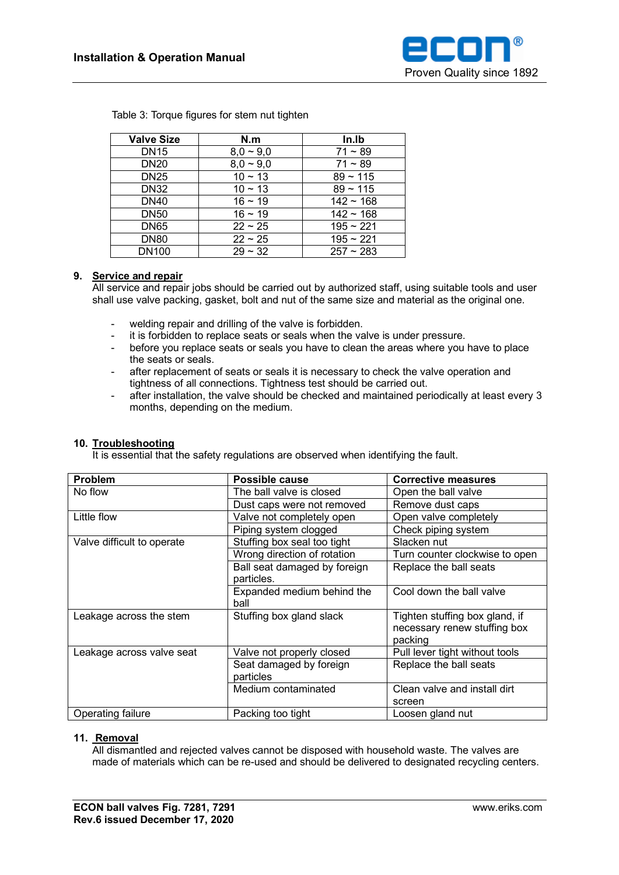

| <b>Valve Size</b> | N.m            | In.Ib          |
|-------------------|----------------|----------------|
| <b>DN15</b>       | $8,0 \sim 9,0$ | $71 - 89$      |
| <b>DN20</b>       | $8.0 - 9.0$    | $71 - 89$      |
| <b>DN25</b>       | $10 \sim 13$   | $89 - 115$     |
| <b>DN32</b>       | $10 \sim 13$   | $89 - 115$     |
| <b>DN40</b>       | $16 \sim 19$   | $142 - 168$    |
| <b>DN50</b>       | $16 \sim 19$   | $142 \sim 168$ |
| <b>DN65</b>       | $22 \sim 25$   | $195 - 221$    |
| <b>DN80</b>       | $22 \sim 25$   | $195 - 221$    |
| <b>DN100</b>      | $29 - 32$      | $257 - 283$    |

Table 3: Torque figures for stem nut tighten

## **9. Service and repair**

All service and repair jobs should be carried out by authorized staff, using suitable tools and user shall use valve packing, gasket, bolt and nut of the same size and material as the original one.

- welding repair and drilling of the valve is forbidden.
- it is forbidden to replace seats or seals when the valve is under pressure.
- before you replace seats or seals you have to clean the areas where you have to place the seats or seals.
- after replacement of seats or seals it is necessary to check the valve operation and tightness of all connections. Tightness test should be carried out.
- after installation, the valve should be checked and maintained periodically at least every 3 months, depending on the medium.

|  |  | 10. Troubleshooting |
|--|--|---------------------|
|--|--|---------------------|

It is essential that the safety regulations are observed when identifying the fault.

| <b>Problem</b>             | <b>Possible cause</b>        | <b>Corrective measures</b>     |  |
|----------------------------|------------------------------|--------------------------------|--|
| No flow                    | The ball valve is closed     | Open the ball valve            |  |
|                            | Dust caps were not removed   | Remove dust caps               |  |
| Little flow                | Valve not completely open    | Open valve completely          |  |
|                            | Piping system clogged        | Check piping system            |  |
| Valve difficult to operate | Stuffing box seal too tight  | Slacken nut                    |  |
|                            | Wrong direction of rotation  | Turn counter clockwise to open |  |
|                            | Ball seat damaged by foreign | Replace the ball seats         |  |
|                            | particles.                   |                                |  |
|                            | Expanded medium behind the   | Cool down the ball valve       |  |
|                            | ball                         |                                |  |
| Leakage across the stem    | Stuffing box gland slack     | Tighten stuffing box gland, if |  |
|                            |                              | necessary renew stuffing box   |  |
|                            |                              | packing                        |  |
| Leakage across valve seat  | Valve not properly closed    | Pull lever tight without tools |  |
|                            | Seat damaged by foreign      | Replace the ball seats         |  |
|                            | particles                    |                                |  |
|                            | Medium contaminated          | Clean valve and install dirt   |  |
|                            |                              | screen                         |  |
| Operating failure          | Packing too tight            | Loosen gland nut               |  |

### **11. Removal**

All dismantled and rejected valves cannot be disposed with household waste. The valves are made of materials which can be re-used and should be delivered to designated recycling centers.